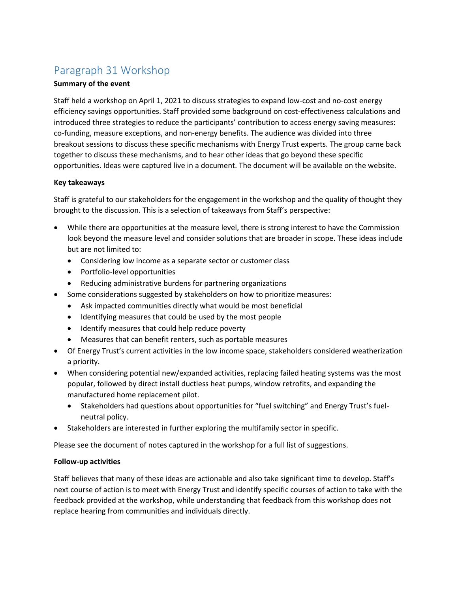## Paragraph 31 Workshop

## **Summary of the event**

Staff held a workshop on April 1, 2021 to discuss strategies to expand low-cost and no-cost energy efficiency savings opportunities. Staff provided some background on cost-effectiveness calculations and introduced three strategies to reduce the participants' contribution to access energy saving measures: co-funding, measure exceptions, and non-energy benefits. The audience was divided into three breakout sessions to discuss these specific mechanisms with Energy Trust experts. The group came back together to discuss these mechanisms, and to hear other ideas that go beyond these specific opportunities. Ideas were captured live in a document. The document will be available on the website.

## **Key takeaways**

Staff is grateful to our stakeholders for the engagement in the workshop and the quality of thought they brought to the discussion. This is a selection of takeaways from Staff's perspective:

- While there are opportunities at the measure level, there is strong interest to have the Commission look beyond the measure level and consider solutions that are broader in scope. These ideas include but are not limited to:
	- Considering low income as a separate sector or customer class
	- Portfolio-level opportunities
	- Reducing administrative burdens for partnering organizations
- Some considerations suggested by stakeholders on how to prioritize measures:
	- Ask impacted communities directly what would be most beneficial
	- Identifying measures that could be used by the most people
	- Identify measures that could help reduce poverty
	- Measures that can benefit renters, such as portable measures
- Of Energy Trust's current activities in the low income space, stakeholders considered weatherization a priority.
- When considering potential new/expanded activities, replacing failed heating systems was the most popular, followed by direct install ductless heat pumps, window retrofits, and expanding the manufactured home replacement pilot.
	- Stakeholders had questions about opportunities for "fuel switching" and Energy Trust's fuelneutral policy.
- Stakeholders are interested in further exploring the multifamily sector in specific.

Please see the document of notes captured in the workshop for a full list of suggestions.

## **Follow-up activities**

Staff believes that many of these ideas are actionable and also take significant time to develop. Staff's next course of action is to meet with Energy Trust and identify specific courses of action to take with the feedback provided at the workshop, while understanding that feedback from this workshop does not replace hearing from communities and individuals directly.